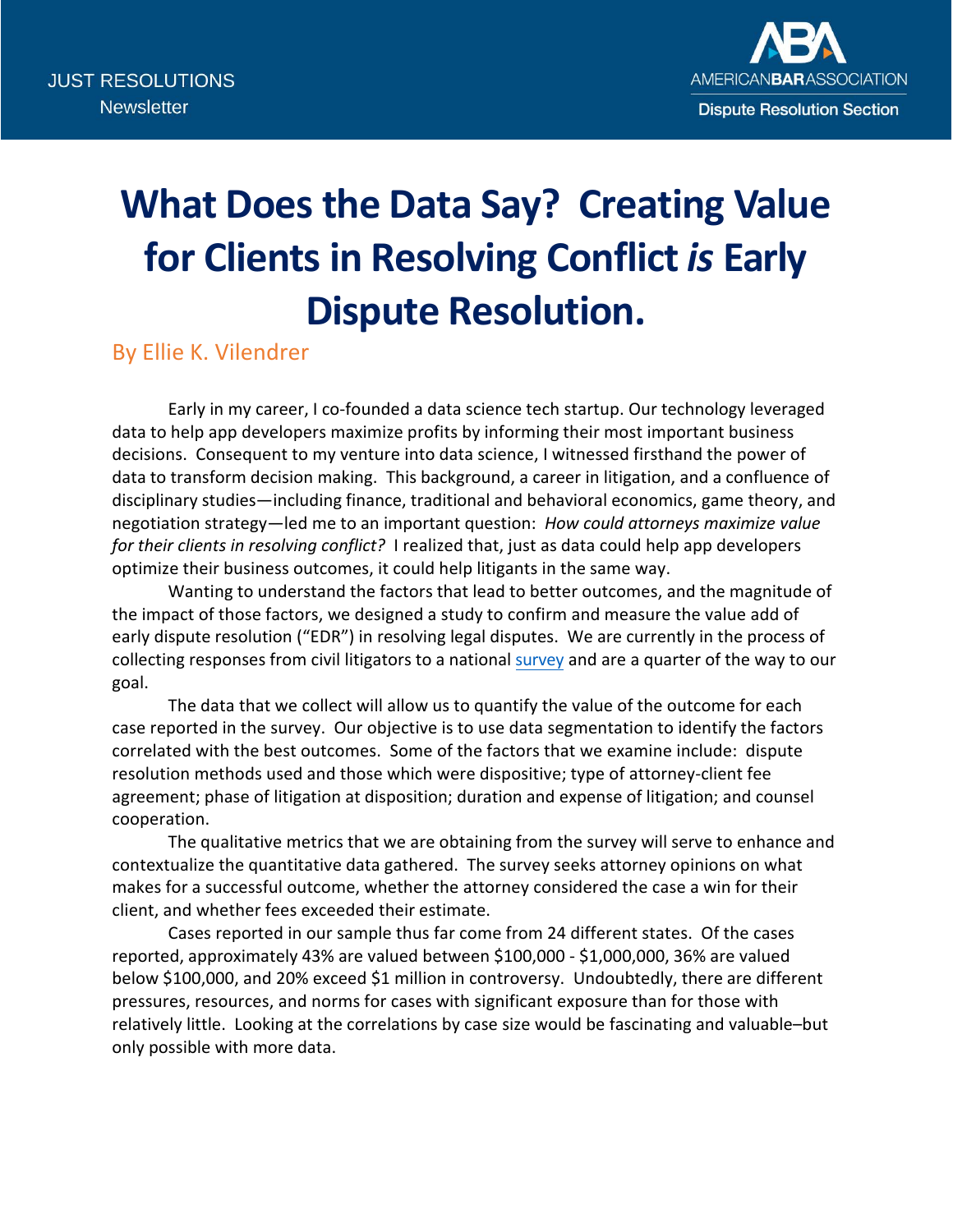

## **What Does the Data Say? Creating Value for Clients in Resolving Conflict** *is* **Early Dispute Resolution.**

By Ellie K. Vilendrer

Early in my career, I co-founded a data science tech startup. Our technology leveraged data to help app developers maximize profits by informing their most important business decisions. Consequent to my venture into data science, I witnessed firsthand the power of data to transform decision making. This background, a career in litigation, and a confluence of disciplinary studies—including finance, traditional and behavioral economics, game theory, and negotiation strategy—led me to an important question: *How could attorneys maximize value for their clients in resolving conflict?* I realized that, just as data could help app developers optimize their business outcomes, it could help litigants in the same way.

Wanting to understand the factors that lead to better outcomes, and the magnitude of the impact of those factors, we designed a study to confirm and measure the value add of early dispute resolution ("EDR") in resolving legal disputes. We are currently in the process of collecting responses from civil litigators to a national [survey](https://docs.google.com/forms/d/1ToZ8HKmpvIQkWAA7XDdGyvxnhHkad5fsm8Bkf5Oxavg/edit) and are a quarter of the way to our goal.

The data that we collect will allow us to quantify the value of the outcome for each case reported in the survey. Our objective is to use data segmentation to identify the factors correlated with the best outcomes. Some of the factors that we examine include: dispute resolution methods used and those which were dispositive; type of attorney-client fee agreement; phase of litigation at disposition; duration and expense of litigation; and counsel cooperation.

The qualitative metrics that we are obtaining from the survey will serve to enhance and contextualize the quantitative data gathered. The survey seeks attorney opinions on what makes for a successful outcome, whether the attorney considered the case a win for their client, and whether fees exceeded their estimate.

Cases reported in our sample thus far come from 24 different states. Of the cases reported, approximately 43% are valued between \$100,000 - \$1,000,000, 36% are valued below \$100,000, and 20% exceed \$1 million in controversy. Undoubtedly, there are different pressures, resources, and norms for cases with significant exposure than for those with relatively little. Looking at the correlations by case size would be fascinating and valuable–but only possible with more data.